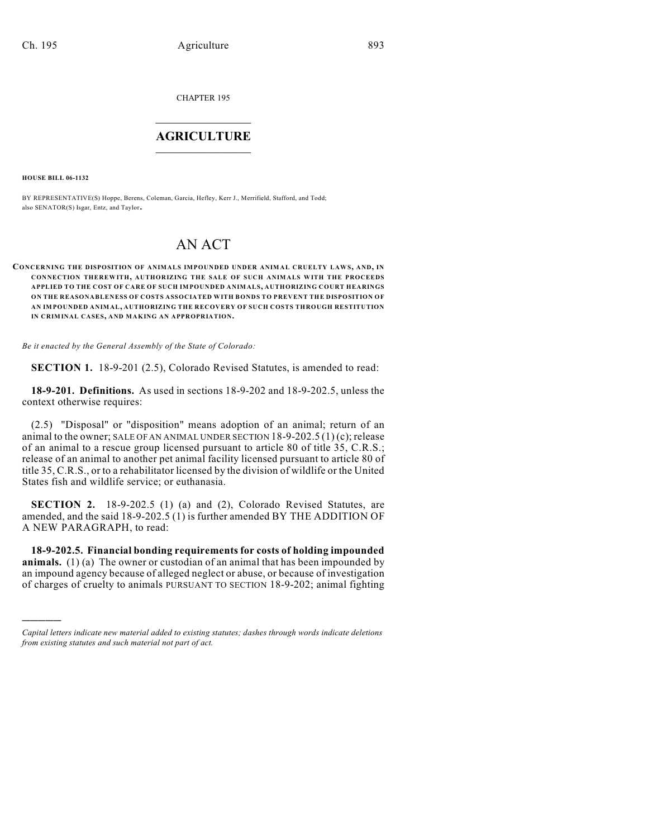CHAPTER 195

## $\mathcal{L}_\text{max}$  . The set of the set of the set of the set of the set of the set of the set of the set of the set of the set of the set of the set of the set of the set of the set of the set of the set of the set of the set **AGRICULTURE**  $\_$   $\_$   $\_$   $\_$   $\_$   $\_$   $\_$   $\_$

**HOUSE BILL 06-1132**

)))))

BY REPRESENTATIVE(S) Hoppe, Berens, Coleman, Garcia, Hefley, Kerr J., Merrifield, Stafford, and Todd; also SENATOR(S) Isgar, Entz, and Taylor.

## AN ACT

**CONCERNING THE DISPOSITION OF ANIM ALS IM POUNDED UNDER ANIM AL CRUELTY LAW S, AND, IN CONNECTION THEREWITH, AUTHORIZING THE SALE OF SUCH ANIMALS WITH THE PROCEEDS APPLIED TO THE COST OF CARE OF SUCH IMPOUNDED ANIMALS, AUTHORIZING COURT HEARINGS ON THE REASONABLENESS OF COSTS ASSOCIATED WITH BONDS TO PREVENT THE DISPOSITION OF AN IMPOUNDED ANIMAL, AUTHORIZING THE RECOVERY OF SUCH COSTS THROUGH RESTITUTION IN CRIMINAL CASES, AND MAKING AN APPROPRIATION.**

*Be it enacted by the General Assembly of the State of Colorado:*

**SECTION 1.** 18-9-201 (2.5), Colorado Revised Statutes, is amended to read:

**18-9-201. Definitions.** As used in sections 18-9-202 and 18-9-202.5, unless the context otherwise requires:

(2.5) "Disposal" or "disposition" means adoption of an animal; return of an animal to the owner; SALE OF AN ANIMAL UNDER SECTION 18-9-202.5 (1) (c); release of an animal to a rescue group licensed pursuant to article 80 of title 35, C.R.S.; release of an animal to another pet animal facility licensed pursuant to article 80 of title 35, C.R.S., or to a rehabilitator licensed by the division of wildlife or the United States fish and wildlife service; or euthanasia.

**SECTION 2.** 18-9-202.5 (1) (a) and (2), Colorado Revised Statutes, are amended, and the said 18-9-202.5 (1) is further amended BY THE ADDITION OF A NEW PARAGRAPH, to read:

**18-9-202.5. Financial bonding requirements for costs of holding impounded animals.** (1) (a) The owner or custodian of an animal that has been impounded by an impound agency because of alleged neglect or abuse, or because of investigation of charges of cruelty to animals PURSUANT TO SECTION 18-9-202; animal fighting

*Capital letters indicate new material added to existing statutes; dashes through words indicate deletions from existing statutes and such material not part of act.*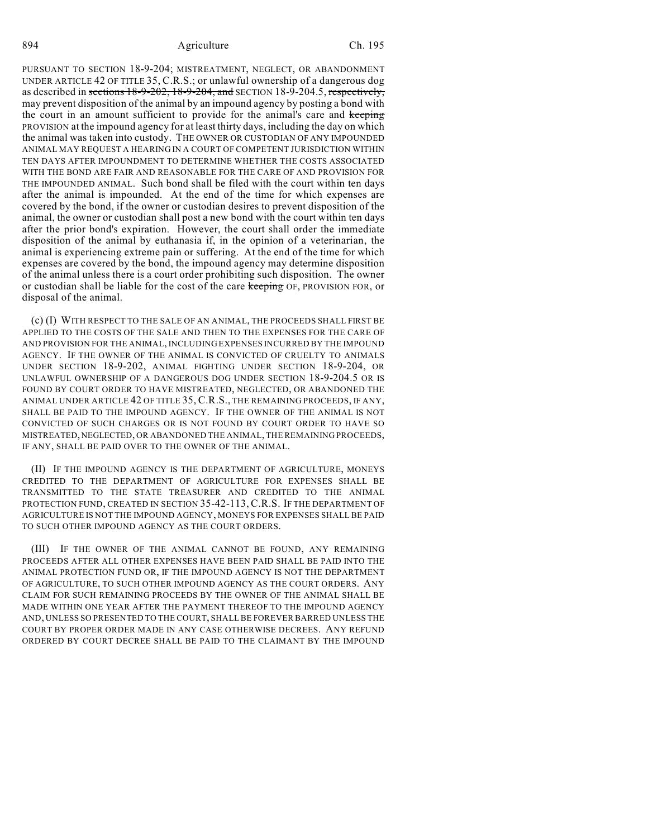PURSUANT TO SECTION 18-9-204; MISTREATMENT, NEGLECT, OR ABANDONMENT UNDER ARTICLE 42 OF TITLE 35, C.R.S.; or unlawful ownership of a dangerous dog as described in sections  $18-9-202$ ,  $18-9-204$ , and SECTION 18-9-204.5, respectively, may prevent disposition of the animal by an impound agency by posting a bond with the court in an amount sufficient to provide for the animal's care and keeping PROVISION at the impound agency for at least thirty days, including the day on which the animal was taken into custody. THE OWNER OR CUSTODIAN OF ANY IMPOUNDED ANIMAL MAY REQUEST A HEARING IN A COURT OF COMPETENT JURISDICTION WITHIN TEN DAYS AFTER IMPOUNDMENT TO DETERMINE WHETHER THE COSTS ASSOCIATED WITH THE BOND ARE FAIR AND REASONABLE FOR THE CARE OF AND PROVISION FOR THE IMPOUNDED ANIMAL. Such bond shall be filed with the court within ten days after the animal is impounded. At the end of the time for which expenses are covered by the bond, if the owner or custodian desires to prevent disposition of the animal, the owner or custodian shall post a new bond with the court within ten days after the prior bond's expiration. However, the court shall order the immediate disposition of the animal by euthanasia if, in the opinion of a veterinarian, the animal is experiencing extreme pain or suffering. At the end of the time for which expenses are covered by the bond, the impound agency may determine disposition of the animal unless there is a court order prohibiting such disposition. The owner or custodian shall be liable for the cost of the care keeping OF, PROVISION FOR, or disposal of the animal.

(c) (I) WITH RESPECT TO THE SALE OF AN ANIMAL, THE PROCEEDS SHALL FIRST BE APPLIED TO THE COSTS OF THE SALE AND THEN TO THE EXPENSES FOR THE CARE OF AND PROVISION FOR THE ANIMAL, INCLUDING EXPENSES INCURRED BY THE IMPOUND AGENCY. IF THE OWNER OF THE ANIMAL IS CONVICTED OF CRUELTY TO ANIMALS UNDER SECTION 18-9-202, ANIMAL FIGHTING UNDER SECTION 18-9-204, OR UNLAWFUL OWNERSHIP OF A DANGEROUS DOG UNDER SECTION 18-9-204.5 OR IS FOUND BY COURT ORDER TO HAVE MISTREATED, NEGLECTED, OR ABANDONED THE ANIMAL UNDER ARTICLE 42 OF TITLE 35, C.R.S., THE REMAINING PROCEEDS, IF ANY, SHALL BE PAID TO THE IMPOUND AGENCY. IF THE OWNER OF THE ANIMAL IS NOT CONVICTED OF SUCH CHARGES OR IS NOT FOUND BY COURT ORDER TO HAVE SO MISTREATED, NEGLECTED, OR ABANDONED THE ANIMAL, THE REMAINING PROCEEDS, IF ANY, SHALL BE PAID OVER TO THE OWNER OF THE ANIMAL.

(II) IF THE IMPOUND AGENCY IS THE DEPARTMENT OF AGRICULTURE, MONEYS CREDITED TO THE DEPARTMENT OF AGRICULTURE FOR EXPENSES SHALL BE TRANSMITTED TO THE STATE TREASURER AND CREDITED TO THE ANIMAL PROTECTION FUND, CREATED IN SECTION 35-42-113, C.R.S. IF THE DEPARTMENT OF AGRICULTURE IS NOT THE IMPOUND AGENCY, MONEYS FOR EXPENSES SHALL BE PAID TO SUCH OTHER IMPOUND AGENCY AS THE COURT ORDERS.

(III) IF THE OWNER OF THE ANIMAL CANNOT BE FOUND, ANY REMAINING PROCEEDS AFTER ALL OTHER EXPENSES HAVE BEEN PAID SHALL BE PAID INTO THE ANIMAL PROTECTION FUND OR, IF THE IMPOUND AGENCY IS NOT THE DEPARTMENT OF AGRICULTURE, TO SUCH OTHER IMPOUND AGENCY AS THE COURT ORDERS. ANY CLAIM FOR SUCH REMAINING PROCEEDS BY THE OWNER OF THE ANIMAL SHALL BE MADE WITHIN ONE YEAR AFTER THE PAYMENT THEREOF TO THE IMPOUND AGENCY AND, UNLESS SO PRESENTED TO THE COURT, SHALL BE FOREVER BARRED UNLESS THE COURT BY PROPER ORDER MADE IN ANY CASE OTHERWISE DECREES. ANY REFUND ORDERED BY COURT DECREE SHALL BE PAID TO THE CLAIMANT BY THE IMPOUND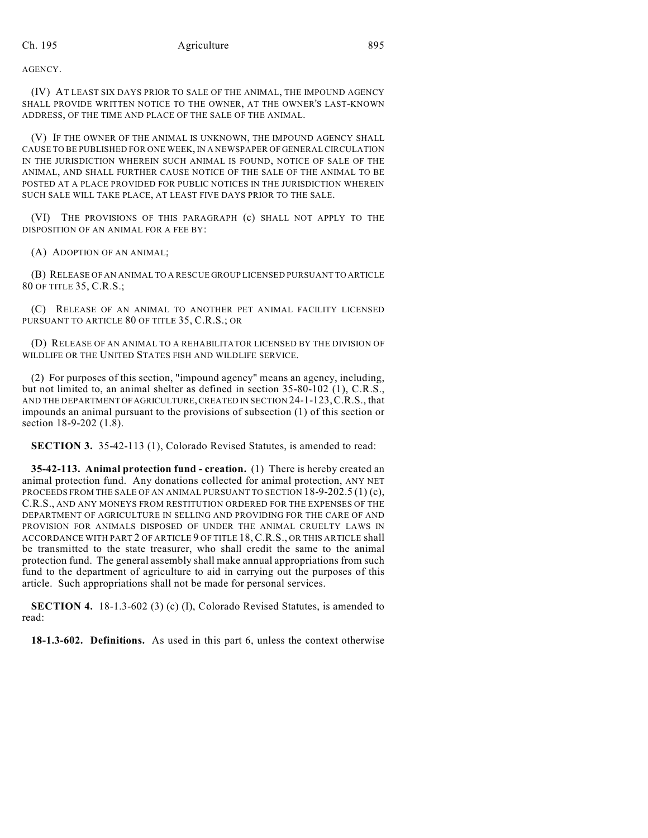AGENCY.

(IV) AT LEAST SIX DAYS PRIOR TO SALE OF THE ANIMAL, THE IMPOUND AGENCY SHALL PROVIDE WRITTEN NOTICE TO THE OWNER, AT THE OWNER'S LAST-KNOWN ADDRESS, OF THE TIME AND PLACE OF THE SALE OF THE ANIMAL.

(V) IF THE OWNER OF THE ANIMAL IS UNKNOWN, THE IMPOUND AGENCY SHALL CAUSE TO BE PUBLISHED FOR ONE WEEK, IN A NEWSPAPER OF GENERAL CIRCULATION IN THE JURISDICTION WHEREIN SUCH ANIMAL IS FOUND, NOTICE OF SALE OF THE ANIMAL, AND SHALL FURTHER CAUSE NOTICE OF THE SALE OF THE ANIMAL TO BE POSTED AT A PLACE PROVIDED FOR PUBLIC NOTICES IN THE JURISDICTION WHEREIN SUCH SALE WILL TAKE PLACE, AT LEAST FIVE DAYS PRIOR TO THE SALE.

(VI) THE PROVISIONS OF THIS PARAGRAPH (c) SHALL NOT APPLY TO THE DISPOSITION OF AN ANIMAL FOR A FEE BY:

(A) ADOPTION OF AN ANIMAL;

(B) RELEASE OF AN ANIMAL TO A RESCUE GROUP LICENSED PURSUANT TO ARTICLE 80 OF TITLE 35, C.R.S.;

(C) RELEASE OF AN ANIMAL TO ANOTHER PET ANIMAL FACILITY LICENSED PURSUANT TO ARTICLE 80 OF TITLE 35, C.R.S.; OR

(D) RELEASE OF AN ANIMAL TO A REHABILITATOR LICENSED BY THE DIVISION OF WILDLIFE OR THE UNITED STATES FISH AND WILDLIFE SERVICE.

(2) For purposes of this section, "impound agency" means an agency, including, but not limited to, an animal shelter as defined in section 35-80-102 (1), C.R.S., AND THE DEPARTMENT OF AGRICULTURE, CREATED IN SECTION 24-1-123,C.R.S., that impounds an animal pursuant to the provisions of subsection (1) of this section or section 18-9-202 (1.8).

**SECTION 3.** 35-42-113 (1), Colorado Revised Statutes, is amended to read:

**35-42-113. Animal protection fund - creation.** (1) There is hereby created an animal protection fund. Any donations collected for animal protection, ANY NET PROCEEDS FROM THE SALE OF AN ANIMAL PURSUANT TO SECTION 18-9-202.5 (1) (c), C.R.S., AND ANY MONEYS FROM RESTITUTION ORDERED FOR THE EXPENSES OF THE DEPARTMENT OF AGRICULTURE IN SELLING AND PROVIDING FOR THE CARE OF AND PROVISION FOR ANIMALS DISPOSED OF UNDER THE ANIMAL CRUELTY LAWS IN ACCORDANCE WITH PART 2 OF ARTICLE 9 OF TITLE 18, C.R.S., OR THIS ARTICLE shall be transmitted to the state treasurer, who shall credit the same to the animal protection fund. The general assembly shall make annual appropriations from such fund to the department of agriculture to aid in carrying out the purposes of this article. Such appropriations shall not be made for personal services.

**SECTION 4.** 18-1.3-602 (3) (c) (I), Colorado Revised Statutes, is amended to read:

**18-1.3-602. Definitions.** As used in this part 6, unless the context otherwise